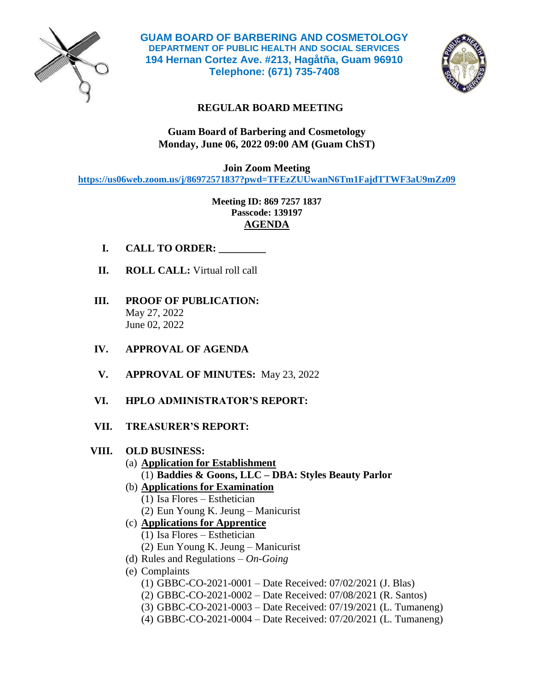

**GUAM BOARD OF BARBERING AND COSMETOLOGY DEPARTMENT OF PUBLIC HEALTH AND SOCIAL SERVICES 194 Hernan Cortez Ave. #213, Hagåtña, Guam 96910 Telephone: (671) 735-7408**



## **REGULAR BOARD MEETING**

## **Guam Board of Barbering and Cosmetology Monday, June 06, 2022 09:00 AM (Guam ChST)**

**Join Zoom Meeting https://us06web.zoom.us/j/86972571837?pwd=TFEzZUUwanN6Tm1FajdTTWF3aU9mZz09**

> **Meeting ID: 869 7257 1837 Passcode: 139197 AGENDA**

- **I. CALL TO ORDER: \_\_\_\_\_\_\_\_\_**
- **II. ROLL CALL:** Virtual roll call
- **III. PROOF OF PUBLICATION:**  May 27, 2022 June 02, 2022
- **IV. APPROVAL OF AGENDA**
- **V. APPROVAL OF MINUTES:** May 23, 2022
- **VI. HPLO ADMINISTRATOR'S REPORT:**
- **VII. TREASURER'S REPORT:**

## **VIII. OLD BUSINESS:**

- (a) **Application for Establishment**
	- (1) **Baddies & Goons, LLC – DBA: Styles Beauty Parlor**
- (b) **Applications for Examination**
	- (1) Isa Flores Esthetician
	- (2) Eun Young K. Jeung Manicurist
- (c) **Applications for Apprentice**
	- (1) Isa Flores Esthetician
	- (2) Eun Young K. Jeung Manicurist
- (d) Rules and Regulations *On-Going*
- (e) Complaints
	- (1) GBBC-CO-2021-0001 Date Received: 07/02/2021 (J. Blas)
	- (2) GBBC-CO-2021-0002 Date Received: 07/08/2021 (R. Santos)
	- (3) GBBC-CO-2021-0003 Date Received: 07/19/2021 (L. Tumaneng)
	- (4) GBBC-CO-2021-0004 Date Received: 07/20/2021 (L. Tumaneng)